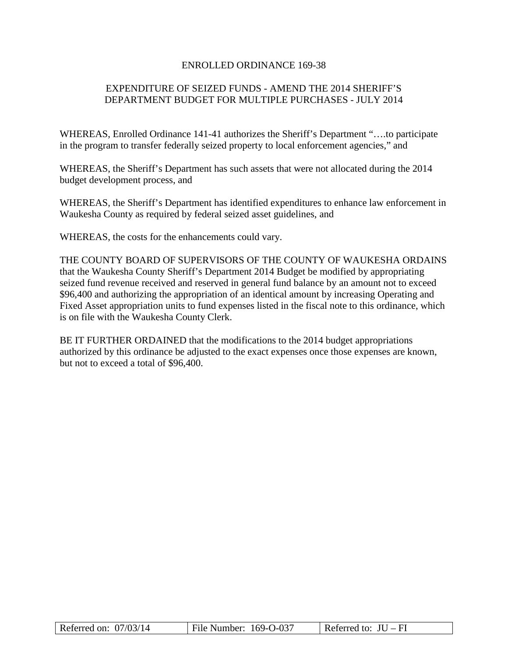### ENROLLED ORDINANCE 169-38

# EXPENDITURE OF SEIZED FUNDS - AMEND THE 2014 SHERIFF'S DEPARTMENT BUDGET FOR MULTIPLE PURCHASES - JULY 2014

WHEREAS, Enrolled Ordinance 141-41 authorizes the Sheriff's Department "….to participate in the program to transfer federally seized property to local enforcement agencies," and

WHEREAS, the Sheriff's Department has such assets that were not allocated during the 2014 budget development process, and

WHEREAS, the Sheriff's Department has identified expenditures to enhance law enforcement in Waukesha County as required by federal seized asset guidelines, and

WHEREAS, the costs for the enhancements could vary.

THE COUNTY BOARD OF SUPERVISORS OF THE COUNTY OF WAUKESHA ORDAINS that the Waukesha County Sheriff's Department 2014 Budget be modified by appropriating seized fund revenue received and reserved in general fund balance by an amount not to exceed \$96,400 and authorizing the appropriation of an identical amount by increasing Operating and Fixed Asset appropriation units to fund expenses listed in the fiscal note to this ordinance, which is on file with the Waukesha County Clerk.

BE IT FURTHER ORDAINED that the modifications to the 2014 budget appropriations authorized by this ordinance be adjusted to the exact expenses once those expenses are known, but not to exceed a total of \$96,400.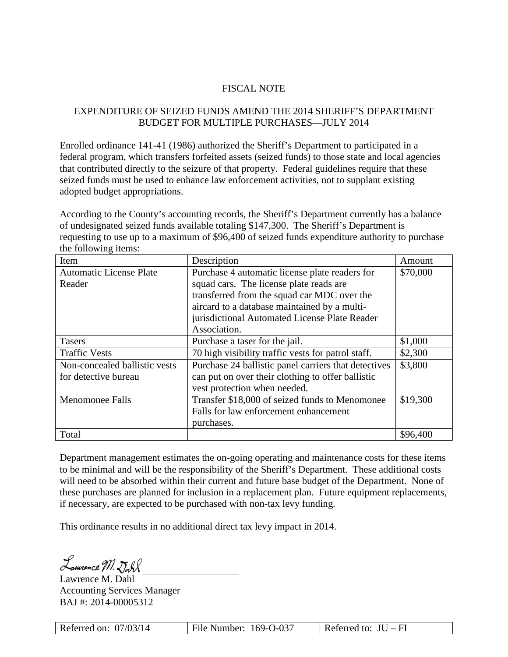## FISCAL NOTE

# EXPENDITURE OF SEIZED FUNDS AMEND THE 2014 SHERIFF'S DEPARTMENT BUDGET FOR MULTIPLE PURCHASES—JULY 2014

Enrolled ordinance 141-41 (1986) authorized the Sheriff's Department to participated in a federal program, which transfers forfeited assets (seized funds) to those state and local agencies that contributed directly to the seizure of that property. Federal guidelines require that these seized funds must be used to enhance law enforcement activities, not to supplant existing adopted budget appropriations.

According to the County's accounting records, the Sheriff's Department currently has a balance of undesignated seized funds available totaling \$147,300. The Sheriff's Department is requesting to use up to a maximum of \$96,400 of seized funds expenditure authority to purchase the following items:

| Item                           | Description                                          | Amount   |  |  |
|--------------------------------|------------------------------------------------------|----------|--|--|
| <b>Automatic License Plate</b> | Purchase 4 automatic license plate readers for       | \$70,000 |  |  |
| Reader                         | squad cars. The license plate reads are              |          |  |  |
|                                | transferred from the squad car MDC over the          |          |  |  |
|                                | aircard to a database maintained by a multi-         |          |  |  |
|                                | jurisdictional Automated License Plate Reader        |          |  |  |
|                                | Association.                                         |          |  |  |
| <b>Tasers</b>                  | Purchase a taser for the jail.                       | \$1,000  |  |  |
| <b>Traffic Vests</b>           | 70 high visibility traffic vests for patrol staff.   | \$2,300  |  |  |
| Non-concealed ballistic vests  | Purchase 24 ballistic panel carriers that detectives | \$3,800  |  |  |
| for detective bureau           | can put on over their clothing to offer ballistic    |          |  |  |
|                                | vest protection when needed.                         |          |  |  |
| <b>Menomonee Falls</b>         | Transfer \$18,000 of seized funds to Menomonee       | \$19,300 |  |  |
|                                | Falls for law enforcement enhancement                |          |  |  |
|                                | purchases.                                           |          |  |  |
| Total                          |                                                      | \$96,400 |  |  |

Department management estimates the on-going operating and maintenance costs for these items to be minimal and will be the responsibility of the Sheriff's Department. These additional costs will need to be absorbed within their current and future base budget of the Department. None of these purchases are planned for inclusion in a replacement plan. Future equipment replacements, if necessary, are expected to be purchased with non-tax levy funding.

This ordinance results in no additional direct tax levy impact in 2014.

Laurence M. Doll

Lawrence M. Dahl Accounting Services Manager BAJ #: 2014-00005312

| Referred on: 07/03/14 | File Number: 169-O-037 | Referred to: $JU - FI$ |
|-----------------------|------------------------|------------------------|
|-----------------------|------------------------|------------------------|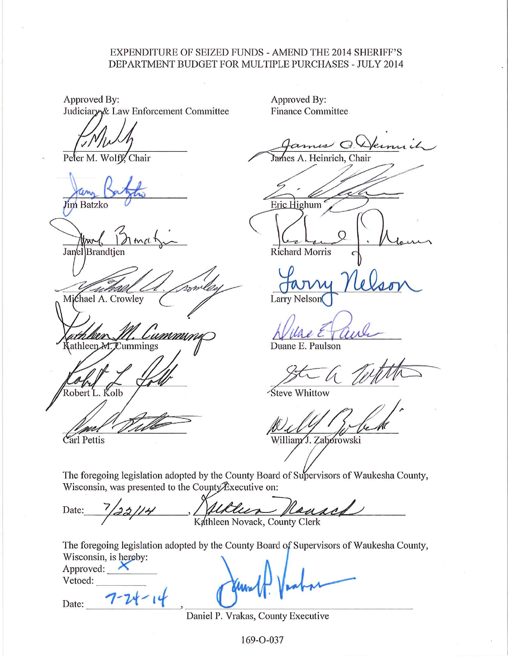## **EXPENDITURE OF SEIZED FUNDS - AMEND THE 2014 SHERIFF'S** DEPARTMENT BUDGET FOR MULTIPLE PURCHASES - JULY 2014

Approved By: Judiciary& Law Enforcement Committee

Wolff. Chair Peter M.

im Batzko

Janel Brandtie

Michael A. Crowley

ummini athleen M. Cummings

obert L. Kolb

Carl Pettis

Approved By: **Finance Committee** 

James A. Heinrich, Chair

Eric Highum

Richard Morris

**Larry Nelson** 

Duane E. Paulson

Steve Whittow

William J. Zaborowski

The foregoing legislation adopted by the County Board of Supervisors of Waukesha County, Wisconsin, was presented to the County Executive on:

Kathleen Novack, County Clerk Date:

The foregoing legislation adopted by the County Board of Supervisors of Waukesha County, Wisconsin, is hereby: Approved:  $\mathsf{\times}$ 

Vetoed:

Date:

Daniel P. Vrakas, County Executive

169-O-037